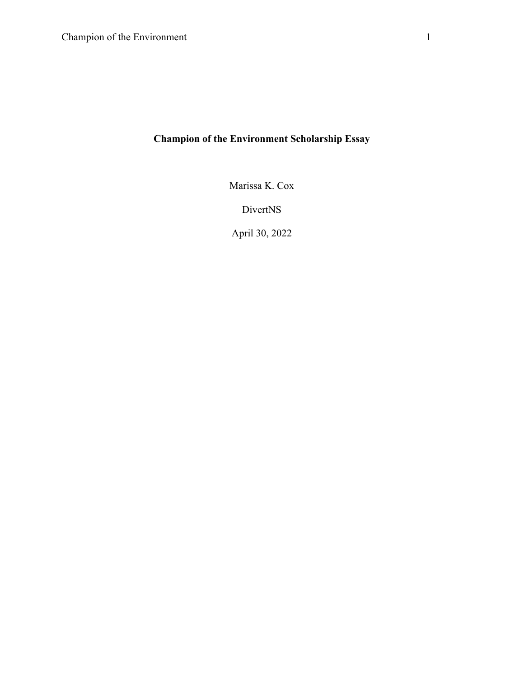## **Champion of the Environment Scholarship Essay**

Marissa K. Cox

DivertNS

April 30, 2022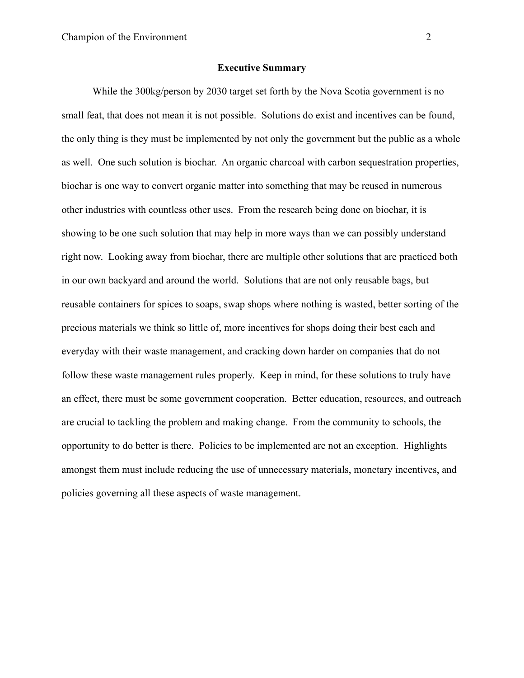## **Executive Summary**

While the 300kg/person by 2030 target set forth by the Nova Scotia government is no small feat, that does not mean it is not possible. Solutions do exist and incentives can be found, the only thing is they must be implemented by not only the government but the public as a whole as well. One such solution is biochar. An organic charcoal with carbon sequestration properties, biochar is one way to convert organic matter into something that may be reused in numerous other industries with countless other uses. From the research being done on biochar, it is showing to be one such solution that may help in more ways than we can possibly understand right now. Looking away from biochar, there are multiple other solutions that are practiced both in our own backyard and around the world. Solutions that are not only reusable bags, but reusable containers for spices to soaps, swap shops where nothing is wasted, better sorting of the precious materials we think so little of, more incentives for shops doing their best each and everyday with their waste management, and cracking down harder on companies that do not follow these waste management rules properly. Keep in mind, for these solutions to truly have an effect, there must be some government cooperation. Better education, resources, and outreach are crucial to tackling the problem and making change. From the community to schools, the opportunity to do better is there. Policies to be implemented are not an exception. Highlights amongst them must include reducing the use of unnecessary materials, monetary incentives, and policies governing all these aspects of waste management.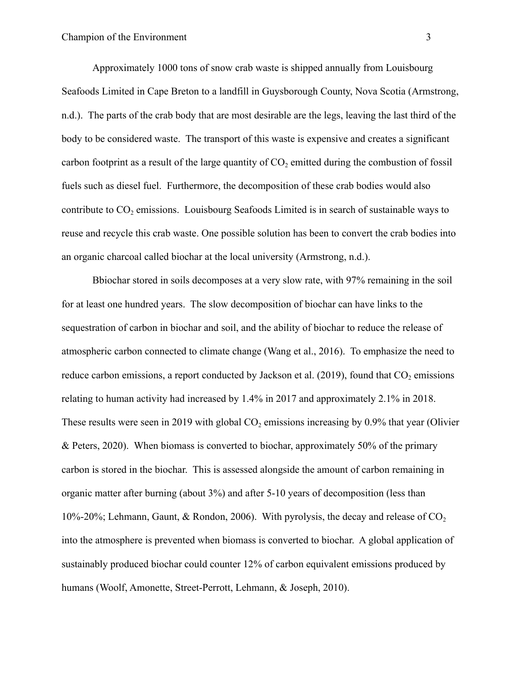Approximately 1000 tons of snow crab waste is shipped annually from Louisbourg Seafoods Limited in Cape Breton to a landfill in Guysborough County, Nova Scotia (Armstrong, n.d.). The parts of the crab body that are most desirable are the legs, leaving the last third of the body to be considered waste. The transport of this waste is expensive and creates a significant carbon footprint as a result of the large quantity of  $CO<sub>2</sub>$  emitted during the combustion of fossil fuels such as diesel fuel. Furthermore, the decomposition of these crab bodies would also contribute to CO<sub>2</sub> emissions. Louisbourg Seafoods Limited is in search of sustainable ways to reuse and recycle this crab waste. One possible solution has been to convert the crab bodies into an organic charcoal called biochar at the local university (Armstrong, n.d.).

Bbiochar stored in soils decomposes at a very slow rate, with 97% remaining in the soil for at least one hundred years. The slow decomposition of biochar can have links to the sequestration of carbon in biochar and soil, and the ability of biochar to reduce the release of atmospheric carbon connected to climate change (Wang et al., 2016). To emphasize the need to reduce carbon emissions, a report conducted by Jackson et al.  $(2019)$ , found that  $CO<sub>2</sub>$  emissions relating to human activity had increased by 1.4% in 2017 and approximately 2.1% in 2018. These results were seen in 2019 with global  $CO<sub>2</sub>$  emissions increasing by 0.9% that year (Olivier & Peters, 2020). When biomass is converted to biochar, approximately 50% of the primary carbon is stored in the biochar. This is assessed alongside the amount of carbon remaining in organic matter after burning (about 3%) and after 5-10 years of decomposition (less than 10%-20%; Lehmann, Gaunt, & Rondon, 2006). With pyrolysis, the decay and release of  $CO<sub>2</sub>$ into the atmosphere is prevented when biomass is converted to biochar. A global application of sustainably produced biochar could counter 12% of carbon equivalent emissions produced by humans (Woolf, Amonette, Street-Perrott, Lehmann, & Joseph, 2010).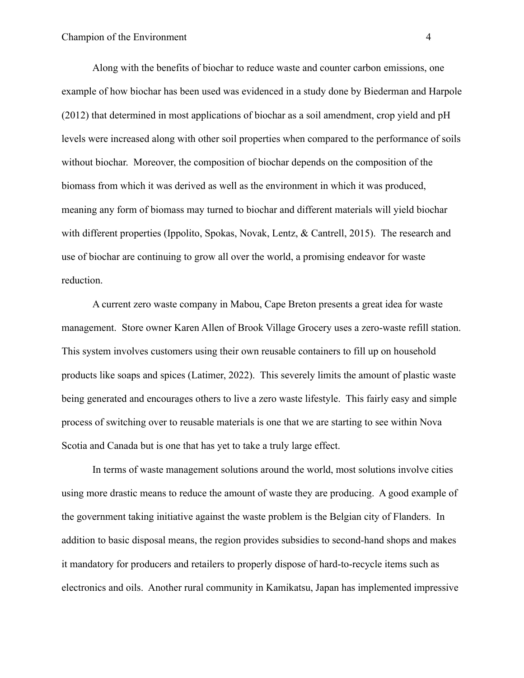Along with the benefits of biochar to reduce waste and counter carbon emissions, one example of how biochar has been used was evidenced in a study done by Biederman and Harpole (2012) that determined in most applications of biochar as a soil amendment, crop yield and pH levels were increased along with other soil properties when compared to the performance of soils without biochar. Moreover, the composition of biochar depends on the composition of the biomass from which it was derived as well as the environment in which it was produced, meaning any form of biomass may turned to biochar and different materials will yield biochar with different properties (Ippolito, Spokas, Novak, Lentz, & Cantrell, 2015). The research and use of biochar are continuing to grow all over the world, a promising endeavor for waste reduction.

A current zero waste company in Mabou, Cape Breton presents a great idea for waste management. Store owner Karen Allen of Brook Village Grocery uses a zero-waste refill station. This system involves customers using their own reusable containers to fill up on household products like soaps and spices (Latimer, 2022). This severely limits the amount of plastic waste being generated and encourages others to live a zero waste lifestyle. This fairly easy and simple process of switching over to reusable materials is one that we are starting to see within Nova Scotia and Canada but is one that has yet to take a truly large effect.

In terms of waste management solutions around the world, most solutions involve cities using more drastic means to reduce the amount of waste they are producing. A good example of the government taking initiative against the waste problem is the Belgian city of Flanders. In addition to basic disposal means, the region provides subsidies to second-hand shops and makes it mandatory for producers and retailers to properly dispose of hard-to-recycle items such as electronics and oils. Another rural community in Kamikatsu, Japan has implemented impressive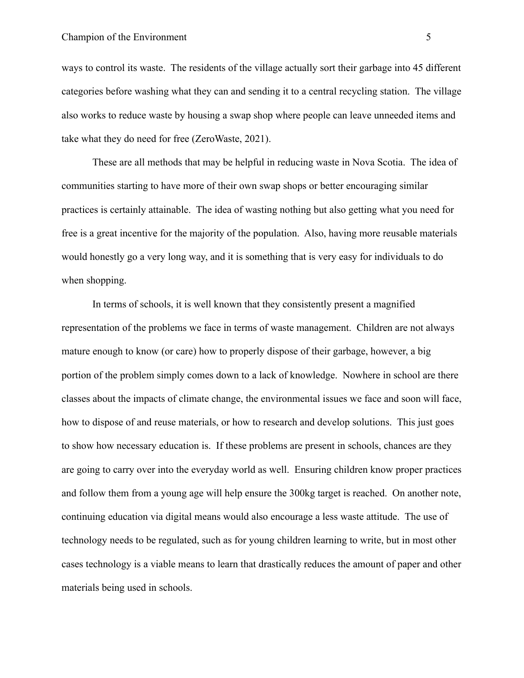ways to control its waste. The residents of the village actually sort their garbage into 45 different categories before washing what they can and sending it to a central recycling station. The village also works to reduce waste by housing a swap shop where people can leave unneeded items and take what they do need for free (ZeroWaste, 2021).

These are all methods that may be helpful in reducing waste in Nova Scotia. The idea of communities starting to have more of their own swap shops or better encouraging similar practices is certainly attainable. The idea of wasting nothing but also getting what you need for free is a great incentive for the majority of the population. Also, having more reusable materials would honestly go a very long way, and it is something that is very easy for individuals to do when shopping.

In terms of schools, it is well known that they consistently present a magnified representation of the problems we face in terms of waste management. Children are not always mature enough to know (or care) how to properly dispose of their garbage, however, a big portion of the problem simply comes down to a lack of knowledge. Nowhere in school are there classes about the impacts of climate change, the environmental issues we face and soon will face, how to dispose of and reuse materials, or how to research and develop solutions. This just goes to show how necessary education is. If these problems are present in schools, chances are they are going to carry over into the everyday world as well. Ensuring children know proper practices and follow them from a young age will help ensure the 300kg target is reached. On another note, continuing education via digital means would also encourage a less waste attitude. The use of technology needs to be regulated, such as for young children learning to write, but in most other cases technology is a viable means to learn that drastically reduces the amount of paper and other materials being used in schools.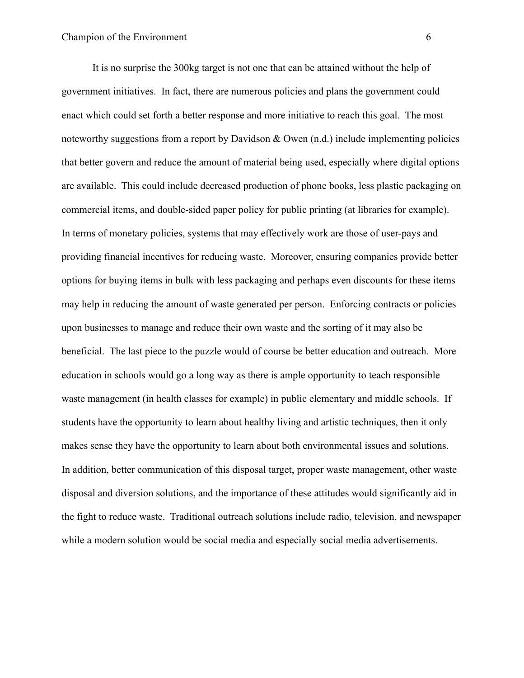It is no surprise the 300kg target is not one that can be attained without the help of government initiatives. In fact, there are numerous policies and plans the government could enact which could set forth a better response and more initiative to reach this goal. The most noteworthy suggestions from a report by Davidson & Owen (n.d.) include implementing policies that better govern and reduce the amount of material being used, especially where digital options are available. This could include decreased production of phone books, less plastic packaging on commercial items, and double-sided paper policy for public printing (at libraries for example). In terms of monetary policies, systems that may effectively work are those of user-pays and providing financial incentives for reducing waste. Moreover, ensuring companies provide better options for buying items in bulk with less packaging and perhaps even discounts for these items may help in reducing the amount of waste generated per person. Enforcing contracts or policies upon businesses to manage and reduce their own waste and the sorting of it may also be beneficial. The last piece to the puzzle would of course be better education and outreach. More education in schools would go a long way as there is ample opportunity to teach responsible waste management (in health classes for example) in public elementary and middle schools. If students have the opportunity to learn about healthy living and artistic techniques, then it only makes sense they have the opportunity to learn about both environmental issues and solutions. In addition, better communication of this disposal target, proper waste management, other waste disposal and diversion solutions, and the importance of these attitudes would significantly aid in the fight to reduce waste. Traditional outreach solutions include radio, television, and newspaper while a modern solution would be social media and especially social media advertisements.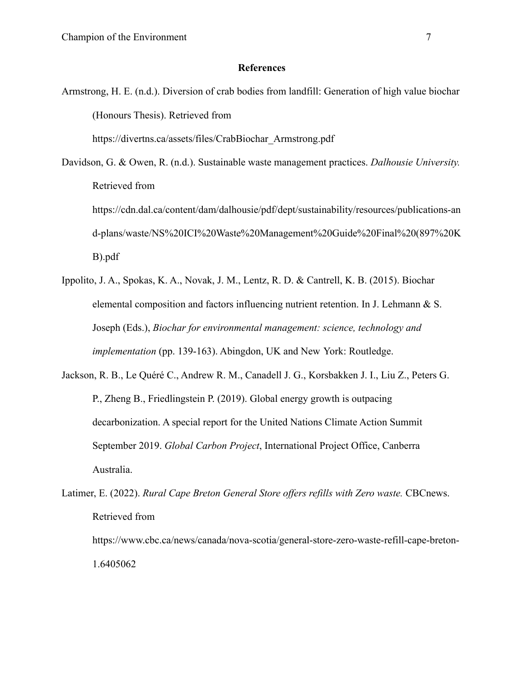## **References**

Armstrong, H. E. (n.d.). Diversion of crab bodies from landfill: Generation of high value biochar (Honours Thesis). Retrieved from

h[ttps://divertns.ca/assets/files/CrabBiochar\\_Armstrong.pdf](https://divertns.ca/assets/files/CrabBiochar_Armstrong.pdf)

- Davidson, G. & Owen, R. (n.d.). Sustainable waste management practices. *Dalhousie University.* Retrieved from https://cdn.dal.ca/content/dam/dalhousie/pdf/dept/sustainability/resources/publications-an d-plans/waste/NS%20ICI%20Waste%20Management%20Guide%20Final%20(897%20K B).pdf
- Ippolito, J. A., Spokas, K. A., Novak, J. M., Lentz, R. D. & Cantrell, K. B. (2015). Biochar elemental composition and factors influencing nutrient retention. In J. Lehmann & S. Joseph (Eds.), *Biochar for environmental management: science, technology and implementation* (pp. 139-163). Abingdon, UK and New York: Routledge.
- Jackson, R. B., Le Quéré C., Andrew R. M., Canadell J. G., Korsbakken J. I., Liu Z., Peters G. P., Zheng B., Friedlingstein P. (2019). Global energy growth is outpacing decarbonization. A special report for the United Nations Climate Action Summit September 2019. *Global Carbon Project*, International Project Office, Canberra Australia.
- Latimer, E. (2022). *Rural Cape Breton General Store offers refills with Zero waste.* CBCnews. Retrieved from https://www.cbc.ca/news/canada/nova-scotia/general-store-zero-waste-refill-cape-breton-1.6405062